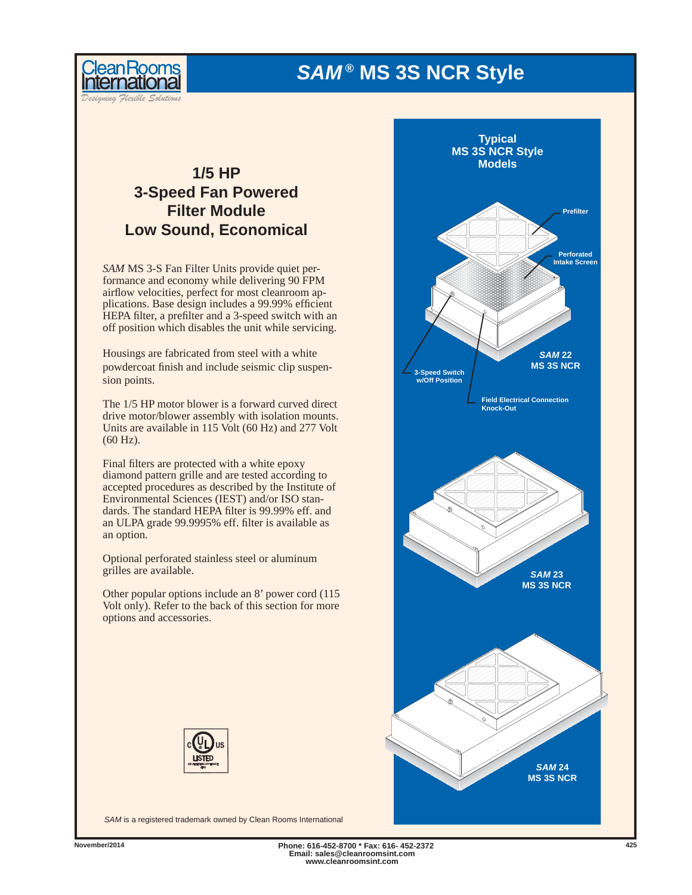# *SAM ®* **MS 3S NCR Style**



*Designing Flexible Solutions*

# **1/5 HP 3-Speed Fan Powered Filter Module Low Sound, Economical**

*SAM* MS 3-S Fan Filter Units provide quiet performance and economy while delivering 90 FPM airflow velocities, perfect for most cleanroom applications. Base design includes a 99.99% efficient HEPA filter, a prefilter and a 3-speed switch with an off position which disables the unit while servicing.

Housings are fabricated from steel with a white powdercoat finish and include seismic clip suspension points.

The 1/5 HP motor blower is a forward curved direct drive motor/blower assembly with isolation mounts. Units are available in 115 Volt (60 Hz) and 277 Volt (60 Hz).

Final filters are protected with a white epoxy diamond pattern grille and are tested according to accepted procedures as described by the Institute of Environmental Sciences (IEST) and/or ISO standards. The standard HEPA filter is 99.99% eff. and an ULPA grade 99.9995% eff. filter is available as an option.

Optional perforated stainless steel or aluminum grilles are available.

Other popular options include an 8' power cord (115 Volt only). Refer to the back of this section for more options and accessories.





*SAM* is a registered trademark owned by Clean Rooms International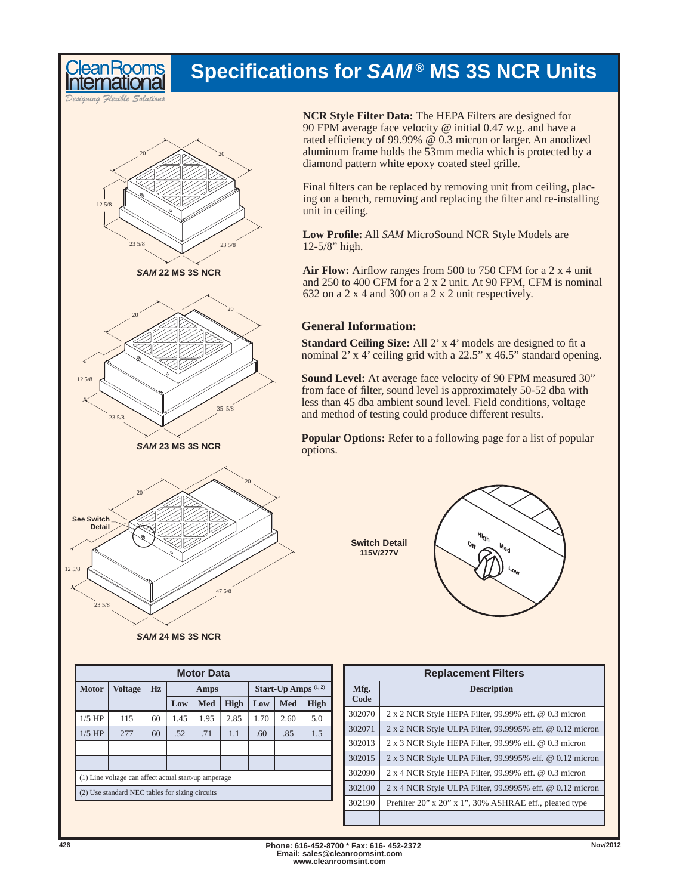# **Specifi cations for** *SAM ®* **MS 3S NCR Units**

*Designing Flexible Solutions*

**Room** 



*SAM* **22 MS 3S NCR**



*SAM* **23 MS 3S NCR**



*SAM* **24 MS 3S NCR**

**NCR Style Filter Data:** The HEPA Filters are designed for 90 FPM average face velocity @ initial 0.47 w.g. and have a rated efficiency of 99.99%  $\omega$  0.3 micron or larger. An anodized aluminum frame holds the 53mm media which is protected by a diamond pattern white epoxy coated steel grille.

Final filters can be replaced by removing unit from ceiling, placing on a bench, removing and replacing the filter and re-installing unit in ceiling.

**Low Profi le:** All *SAM* MicroSound NCR Style Models are 12-5/8" high.

Air Flow: Airflow ranges from 500 to 750 CFM for a 2 x 4 unit and 250 to 400 CFM for a 2 x 2 unit. At 90 FPM, CFM is nominal 632 on a 2 x 4 and 300 on a 2 x 2 unit respectively.

# **General Information:**

**Standard Ceiling Size:** All 2' x 4' models are designed to fit a nominal 2' x 4' ceiling grid with a 22.5" x 46.5" standard opening.

**Sound Level:** At average face velocity of 90 FPM measured 30" from face of filter, sound level is approximately 50-52 dba with less than 45 dba ambient sound level. Field conditions, voltage and method of testing could produce different results.

**Popular Options:** Refer to a following page for a list of popular options.

> **Switch Detail 115V/277V**



| <b>Motor Data</b>                               |                                                      |    |      |      |             |                                |      |             |  |  |
|-------------------------------------------------|------------------------------------------------------|----|------|------|-------------|--------------------------------|------|-------------|--|--|
| <b>Motor</b>                                    | <b>Voltage</b>                                       | Hz | Amps |      |             | Start-Up Amps <sup>(1,2)</sup> |      |             |  |  |
|                                                 |                                                      |    | Low  | Med  | <b>High</b> | Low                            | Med  | <b>High</b> |  |  |
| $1/5$ HP                                        | 115                                                  | 60 | 1.45 | 1.95 | 2.85        | 1.70                           | 2.60 | 5.0         |  |  |
| $1/5$ HP                                        | 277                                                  | 60 | .52  | .71  | 1.1         | .60                            | .85  | 1.5         |  |  |
|                                                 |                                                      |    |      |      |             |                                |      |             |  |  |
|                                                 |                                                      |    |      |      |             |                                |      |             |  |  |
|                                                 | (1) Line voltage can affect actual start-up amperage |    |      |      |             |                                |      |             |  |  |
| (2) Use standard NEC tables for sizing circuits |                                                      |    |      |      |             |                                |      |             |  |  |
|                                                 |                                                      |    |      |      |             |                                |      |             |  |  |

| <b>Replacement Filters</b> |                                                              |  |  |  |  |  |  |
|----------------------------|--------------------------------------------------------------|--|--|--|--|--|--|
| Mfg.<br>Code               | <b>Description</b>                                           |  |  |  |  |  |  |
| 302070                     | 2 x 2 NCR Style HEPA Filter, 99.99% eff. @ 0.3 micron        |  |  |  |  |  |  |
| 302071                     | 2 x 2 NCR Style ULPA Filter, 99.9995% eff. @ 0.12 micron     |  |  |  |  |  |  |
| 302013                     | $2 \times 3$ NCR Style HEPA Filter, 99.99% eff. @ 0.3 micron |  |  |  |  |  |  |
| 302015                     | 2 x 3 NCR Style ULPA Filter, 99.9995% eff. @ 0.12 micron     |  |  |  |  |  |  |
| 302090                     | 2 x 4 NCR Style HEPA Filter, 99.99% eff. @ 0.3 micron        |  |  |  |  |  |  |
| 302100                     | 2 x 4 NCR Style ULPA Filter, 99.9995% eff. @ 0.12 micron     |  |  |  |  |  |  |
| 302190                     | Prefilter 20" x 20" x 1", 30% ASHRAE eff., pleated type      |  |  |  |  |  |  |
|                            |                                                              |  |  |  |  |  |  |

**Phone: 616-452-8700 \* Fax: 616- 452-2372 426 Nov/2012 Email: sales@cleanroomsint.com www.cleanroomsint.com**